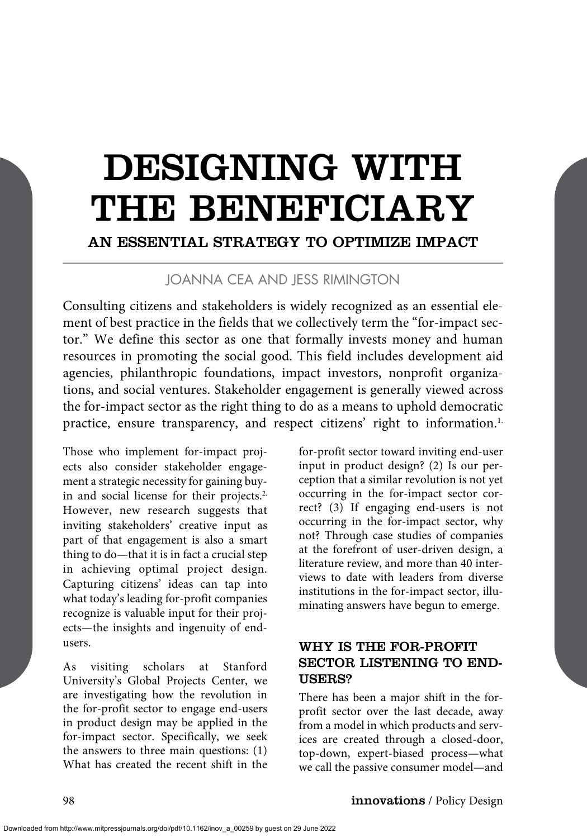# DESIGNING WITH THE BENEFICIARY

# AN ESSENTIAL STRATEGY TO OPTIMIZE IMPACT

# JOANNA CEA AND JESS RIMINGTON

Consulting citizens and stakeholders is widely recognized as an essential element of best practice in the fields that we collectively term the "for-impact sector." We define this sector as one that formally invests money and human resources in promoting the social good. This field includes development aid agencies, philanthropic foundations, impact investors, nonprofit organizations, and social ventures. Stakeholder engagement is generally viewed across the for-impact sector as the right thing to do as a means to uphold democratic practice, ensure transparency, and respect citizens' right to information.<sup>1</sup>

Those who implement for-impact projects also consider stakeholder engagement a strategic necessity for gaining buyin and social license for their projects.<sup>2</sup> However, new research suggests that inviting stakeholders' creative input as part of that engagement is also a smart thing to do—that it is in fact a crucial step in achieving optimal project design. Capturing citizens' ideas can tap into what today's leading for-profit companies recognize is valuable input for their projects—the insights and ingenuity of endusers.

As visiting scholars at Stanford University's Global Projects Center, we are investigating how the revolution in the for-profit sector to engage end-users in product design may be applied in the for-impact sector. Specifically, we seek the answers to three main questions: (1) What has created the recent shift in the

for-profit sector toward inviting end-user input in product design? (2) Is our perception that a similar revolution is not yet occurring in the for-impact sector correct? (3) If engaging end-users is not occurring in the for-impact sector, why not? Through case studies of companies at the forefront of user-driven design, a literature review, and more than 40 interviews to date with leaders from diverse institutions in the for-impact sector, illuminating answers have begun to emerge.

## WHY IS THE FOR-PROFIT SECTOR LISTENING TO END-USERS?

There has been a major shift in the forprofit sector over the last decade, away from a model in which products and services are created through a closed-door, top-down, expert-biased process—what we call the passive consumer model—and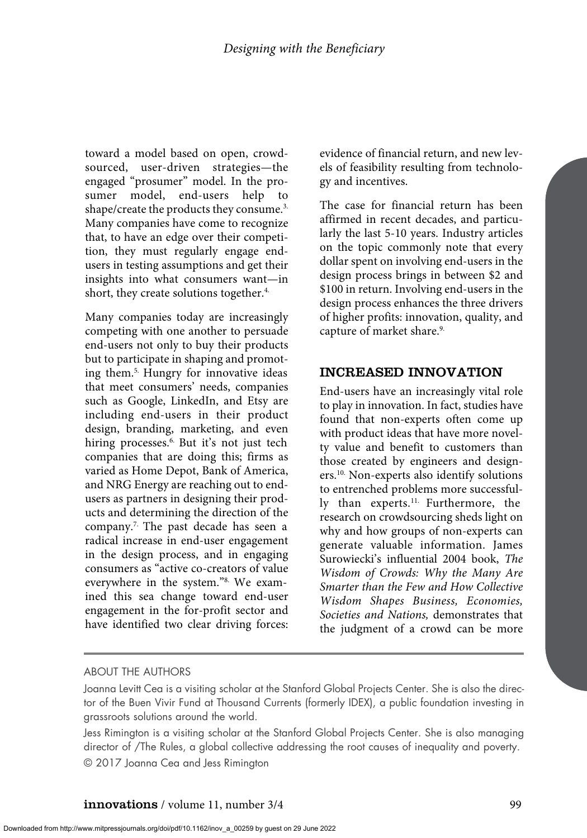toward a model based on open, crowdsourced, user-driven strategies—the engaged "prosumer" model. In the prosumer model, end-users help to shape/create the products they consume.<sup>3.</sup> Many companies have come to recognize that, to have an edge over their competition, they must regularly engage endusers in testing assumptions and get their insights into what consumers want—in short, they create solutions together.<sup>4.</sup>

Many companies today are increasingly competing with one another to persuade end-users not only to buy their products but to participate in shaping and promoting them.5. Hungry for innovative ideas that meet consumers' needs, companies such as Google, LinkedIn, and Etsy are including end-users in their product design, branding, marketing, and even hiring processes.<sup>6.</sup> But it's not just tech companies that are doing this; firms as varied as Home Depot, Bank of America, and NRG Energy are reaching out to endusers as partners in designing their products and determining the direction of the company.7. The past decade has seen a radical increase in end-user engagement in the design process, and in engaging consumers as "active co-creators of value everywhere in the system."8. We examined this sea change toward end-user engagement in the for-profit sector and have identified two clear driving forces: evidence of financial return, and new levels of feasibility resulting from technology and incentives.

The case for financial return has been affirmed in recent decades, and particularly the last 5-10 years. Industry articles on the topic commonly note that every dollar spent on involving end-users in the design process brings in between \$2 and \$100 in return. Involving end-users in the design process enhances the three drivers of higher profits: innovation, quality, and capture of market share.<sup>9.</sup>

# INCREASED INNOVATION

End-users have an increasingly vital role to play in innovation. In fact, studies have found that non-experts often come up with product ideas that have more novelty value and benefit to customers than those created by engineers and designers.10. Non-experts also identify solutions to entrenched problems more successfully than experts.<sup>11.</sup> Furthermore, the research on crowdsourcing sheds light on why and how groups of non-experts can generate valuable information. James Surowiecki's influential 2004 book, *The Wisdom of Crowds: Why the Many Are Smarter than the Few and How Collective Wisdom Shapes Business, Economies, Societies and Nations,* demonstrates that the judgment of a crowd can be more

#### ABOUT THE AUTHORS

Joanna Levitt Cea is a visiting scholar at the Stanford Global Projects Center. She is also the director of the Buen Vivir Fund at Thousand Currents (formerly IDEX), a public foundation investing in grassroots solutions around the world.

Jess Rimington is a visiting scholar at the Stanford Global Projects Center. She is also managing director of /The Rules, a global collective addressing the root causes of inequality and poverty. © 2017 Joanna Cea and Jess Rimington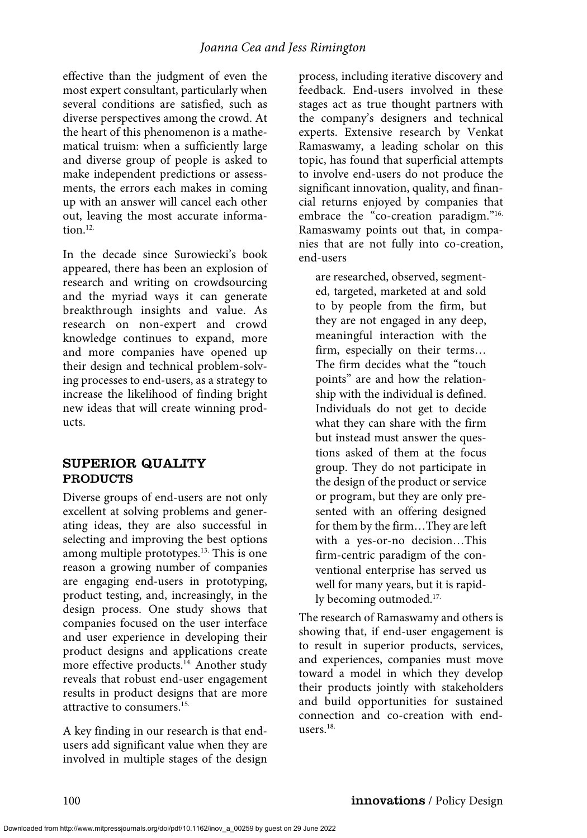effective than the judgment of even the most expert consultant, particularly when several conditions are satisfied, such as diverse perspectives among the crowd. At the heart of this phenomenon is a mathematical truism: when a sufficiently large and diverse group of people is asked to make independent predictions or assessments, the errors each makes in coming up with an answer will cancel each other out, leaving the most accurate information. $12$ .

In the decade since Surowiecki's book appeared, there has been an explosion of research and writing on crowdsourcing and the myriad ways it can generate breakthrough insights and value. As research on non-expert and crowd knowledge continues to expand, more and more companies have opened up their design and technical problem-solving processes to end-users, as a strategy to increase the likelihood of finding bright new ideas that will create winning products.

#### SUPERIOR QUALITY PRODUCTS

Diverse groups of end-users are not only excellent at solving problems and generating ideas, they are also successful in selecting and improving the best options among multiple prototypes.<sup>13.</sup> This is one reason a growing number of companies are engaging end-users in prototyping, product testing, and, increasingly, in the design process. One study shows that companies focused on the user interface and user experience in developing their product designs and applications create more effective products.<sup>14</sup> Another study reveals that robust end-user engagement results in product designs that are more attractive to consumers.15.

A key finding in our research is that endusers add significant value when they are involved in multiple stages of the design

process, including iterative discovery and feedback. End-users involved in these stages act as true thought partners with the company's designers and technical experts. Extensive research by Venkat Ramaswamy, a leading scholar on this topic, has found that superficial attempts to involve end-users do not produce the significant innovation, quality, and financial returns enjoyed by companies that embrace the "co-creation paradigm."<sup>16.</sup> Ramaswamy points out that, in companies that are not fully into co-creation, end-users

are researched, observed, segmented, targeted, marketed at and sold to by people from the firm, but they are not engaged in any deep, meaningful interaction with the firm, especially on their terms… The firm decides what the "touch points" are and how the relationship with the individual is defined. Individuals do not get to decide what they can share with the firm but instead must answer the questions asked of them at the focus group. They do not participate in the design of the product or service or program, but they are only presented with an offering designed for them by the firm…They are left with a yes-or-no decision…This firm-centric paradigm of the conventional enterprise has served us well for many years, but it is rapidly becoming outmoded.17.

The research of Ramaswamy and others is showing that, if end-user engagement is to result in superior products, services, and experiences, companies must move toward a model in which they develop their products jointly with stakeholders and build opportunities for sustained connection and co-creation with endusers.18.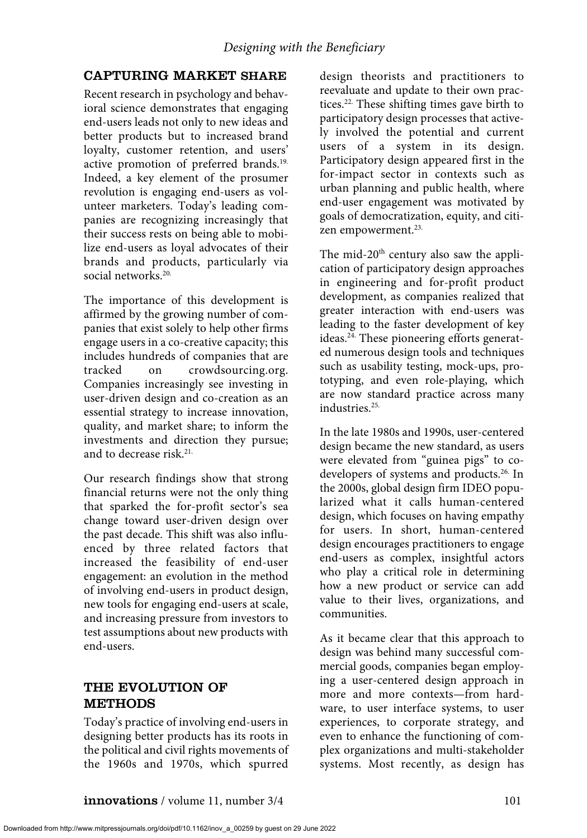# CAPTURING MARKET SHARE

Recent research in psychology and behavioral science demonstrates that engaging end-users leads not only to new ideas and better products but to increased brand loyalty, customer retention, and users' active promotion of preferred brands.<sup>19.</sup> Indeed, a key element of the prosumer revolution is engaging end-users as volunteer marketers. Today's leading companies are recognizing increasingly that their success rests on being able to mobilize end-users as loyal advocates of their brands and products, particularly via social networks.20.

The importance of this development is affirmed by the growing number of companies that exist solely to help other firms engage users in a co-creative capacity; this includes hundreds of companies that are tracked on crowdsourcing.org. Companies increasingly see investing in user-driven design and co-creation as an essential strategy to increase innovation, quality, and market share; to inform the investments and direction they pursue; and to decrease risk.<sup>21.</sup>

Our research findings show that strong financial returns were not the only thing that sparked the for-profit sector's sea change toward user-driven design over the past decade. This shift was also influenced by three related factors that increased the feasibility of end-user engagement: an evolution in the method of involving end-users in product design, new tools for engaging end-users at scale, and increasing pressure from investors to test assumptions about new products with end-users.

# THE EVOLUTION OF METHODS

Today's practice of involving end-users in designing better products has its roots in the political and civil rights movements of the 1960s and 1970s, which spurred

design theorists and practitioners to reevaluate and update to their own practices.<sup>22.</sup> These shifting times gave birth to participatory design processes that actively involved the potential and current users of a system in its design. Participatory design appeared first in the for-impact sector in contexts such as urban planning and public health, where end-user engagement was motivated by goals of democratization, equity, and citizen empowerment.<sup>23.</sup>

The mid-20<sup>th</sup> century also saw the application of participatory design approaches in engineering and for-profit product development, as companies realized that greater interaction with end-users was leading to the faster development of key ideas.24. These pioneering efforts generated numerous design tools and techniques such as usability testing, mock-ups, prototyping, and even role-playing, which are now standard practice across many industries.25.

In the late 1980s and 1990s, user-centered design became the new standard, as users were elevated from "guinea pigs" to codevelopers of systems and products.<sup>26.</sup> In the 2000s, global design firm IDEO popularized what it calls human-centered design, which focuses on having empathy for users. In short, human-centered design encourages practitioners to engage end-users as complex, insightful actors who play a critical role in determining how a new product or service can add value to their lives, organizations, and communities.

As it became clear that this approach to design was behind many successful commercial goods, companies began employing a user-centered design approach in more and more contexts—from hardware, to user interface systems, to user experiences, to corporate strategy, and even to enhance the functioning of complex organizations and multi-stakeholder systems. Most recently, as design has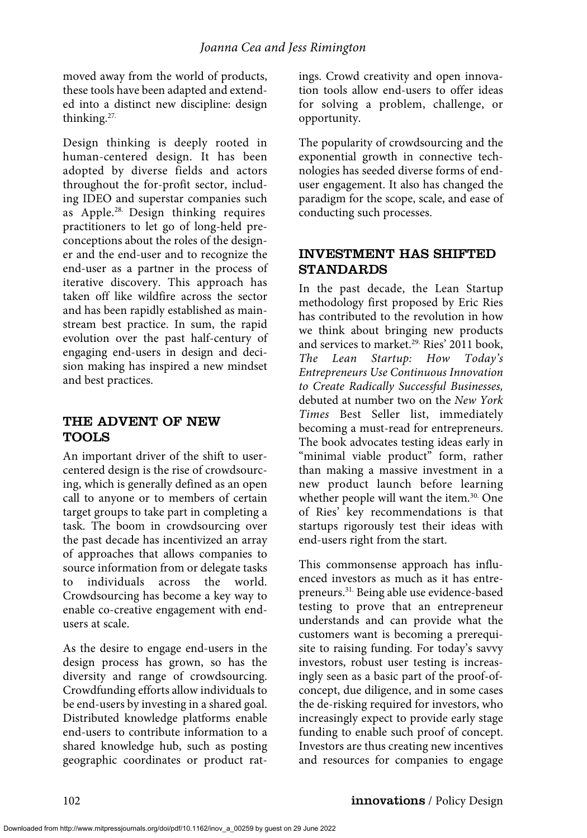moved away from the world of products, these tools have been adapted and extended into a distinct new discipline: design thinking.27.

Design thinking is deeply rooted in human-centered design. It has been adopted by diverse fields and actors throughout the for-profit sector, including IDEO and superstar companies such as Apple.<sup>28.</sup> Design thinking requires practitioners to let go of long-held preconceptions about the roles of the designer and the end-user and to recognize the end-user as a partner in the process of iterative discovery. This approach has taken off like wildfire across the sector and has been rapidly established as mainstream best practice. In sum, the rapid evolution over the past half-century of engaging end-users in design and decision making has inspired a new mindset and best practices.

# THE ADVENT OF NEW TOOLS

An important driver of the shift to usercentered design is the rise of crowdsourcing, which is generally defined as an open call to anyone or to members of certain target groups to take part in completing a task. The boom in crowdsourcing over the past decade has incentivized an array of approaches that allows companies to source information from or delegate tasks to individuals across the world. Crowdsourcing has become a key way to enable co-creative engagement with endusers at scale.

As the desire to engage end-users in the design process has grown, so has the diversity and range of crowdsourcing. Crowdfunding efforts allow individuals to be end-users by investing in a shared goal. Distributed knowledge platforms enable end-users to contribute information to a shared knowledge hub, such as posting geographic coordinates or product ratings. Crowd creativity and open innovation tools allow end-users to offer ideas for solving a problem, challenge, or opportunity.

The popularity of crowdsourcing and the exponential growth in connective technologies has seeded diverse forms of enduser engagement. It also has changed the paradigm for the scope, scale, and ease of conducting such processes.

# INVESTMENT HAS SHIFTED STANDARDS

In the past decade, the Lean Startup methodology first proposed by Eric Ries has contributed to the revolution in how we think about bringing new products and services to market.<sup>29.</sup> Ries' 2011 book, *The Lean Startup: How Today's Entrepreneurs Use Continuous Innovation to Create Radically Successful Businesses,* debuted at number two on the *New York Times* Best Seller list, immediately becoming a must-read for entrepreneurs. The book advocates testing ideas early in "minimal viable product" form, rather than making a massive investment in a new product launch before learning whether people will want the item.<sup>30.</sup> One of Ries' key recommendations is that startups rigorously test their ideas with end-users right from the start.

This commonsense approach has influenced investors as much as it has entrepreneurs.31. Being able use evidence-based testing to prove that an entrepreneur understands and can provide what the customers want is becoming a prerequisite to raising funding. For today's savvy investors, robust user testing is increasingly seen as a basic part of the proof-ofconcept, due diligence, and in some cases the de-risking required for investors, who increasingly expect to provide early stage funding to enable such proof of concept. Investors are thus creating new incentives and resources for companies to engage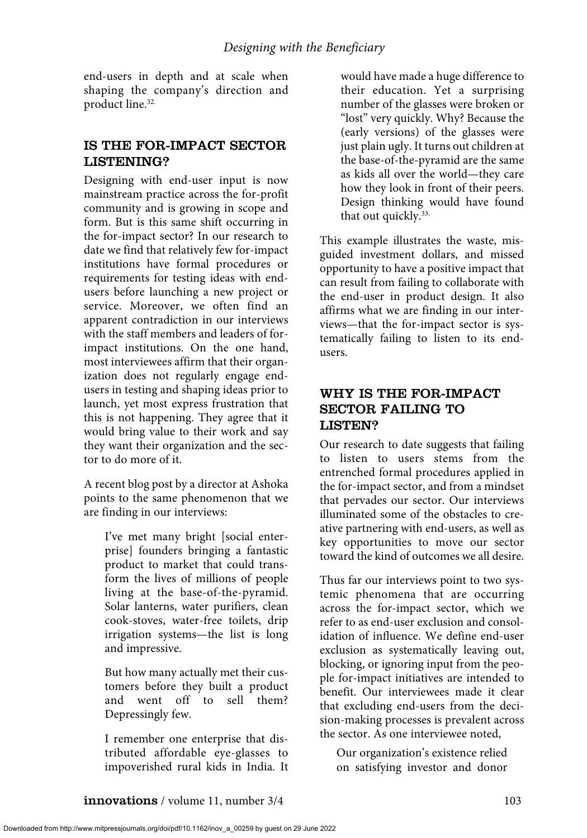end-users in depth and at scale when shaping the company's direction and product line.<sup>32.</sup>

## IS THE FOR-IMPACT SECTOR LISTENING?

Designing with end-user input is now mainstream practice across the for-profit community and is growing in scope and form. But is this same shift occurring in the for-impact sector? In our research to date we find that relatively few for-impact institutions have formal procedures or requirements for testing ideas with endusers before launching a new project or service. Moreover, we often find an apparent contradiction in our interviews with the staff members and leaders of forimpact institutions. On the one hand, most interviewees affirm that their organization does not regularly engage endusers in testing and shaping ideas prior to launch, yet most express frustration that this is not happening. They agree that it would bring value to their work and say they want their organization and the sector to do more of it.

A recent blog post by a director at Ashoka points to the same phenomenon that we are finding in our interviews:

I've met many bright [social enterprise] founders bringing a fantastic product to market that could transform the lives of millions of people living at the base-of-the-pyramid. Solar lanterns, water purifiers, clean cook-stoves, water-free toilets, drip irrigation systems—the list is long and impressive.

But how many actually met their customers before they built a product and went off to sell them? Depressingly few.

I remember one enterprise that distributed affordable eye-glasses to impoverished rural kids in India. It would have made a huge difference to their education. Yet a surprising number of the glasses were broken or "lost" very quickly. Why? Because the (early versions) of the glasses were just plain ugly. It turns out children at the base-of-the-pyramid are the same as kids all over the world—they care how they look in front of their peers. Design thinking would have found that out quickly.<sup>33.</sup>

This example illustrates the waste, misguided investment dollars, and missed opportunity to have a positive impact that can result from failing to collaborate with the end-user in product design. It also affirms what we are finding in our interviews—that the for-impact sector is systematically failing to listen to its endusers.

# WHY IS THE FOR-IMPACT SECTOR FAILING TO LISTEN?

Our research to date suggests that failing to listen to users stems from the entrenched formal procedures applied in the for-impact sector, and from a mindset that pervades our sector. Our interviews illuminated some of the obstacles to creative partnering with end-users, as well as key opportunities to move our sector toward the kind of outcomes we all desire.

Thus far our interviews point to two systemic phenomena that are occurring across the for-impact sector, which we refer to as end-user exclusion and consolidation of influence. We define end-user exclusion as systematically leaving out, blocking, or ignoring input from the people for-impact initiatives are intended to benefit. Our interviewees made it clear that excluding end-users from the decision-making processes is prevalent across the sector. As one interviewee noted,

Our organization's existence relied on satisfying investor and donor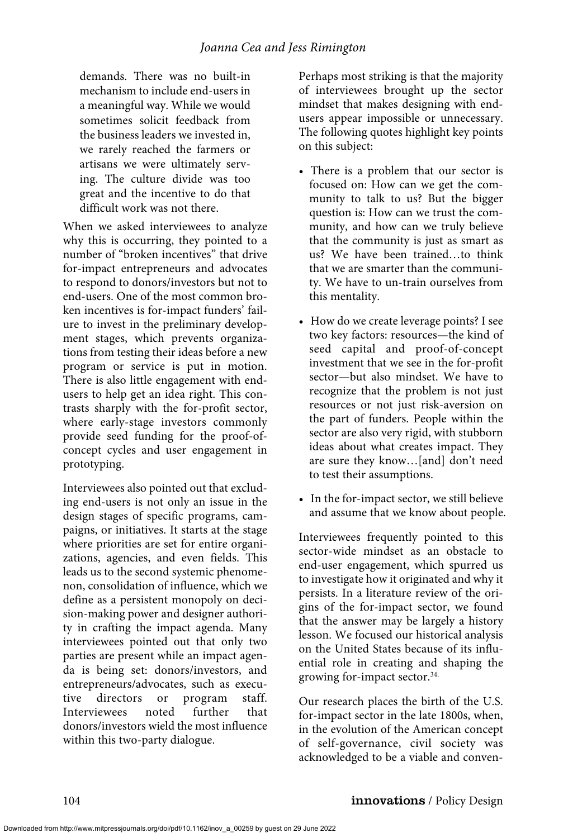demands. There was no built-in mechanism to include end-users in a meaningful way. While we would sometimes solicit feedback from the business leaders we invested in, we rarely reached the farmers or artisans we were ultimately serving. The culture divide was too great and the incentive to do that difficult work was not there.

When we asked interviewees to analyze why this is occurring, they pointed to a number of "broken incentives" that drive for-impact entrepreneurs and advocates to respond to donors/investors but not to end-users. One of the most common broken incentives is for-impact funders' failure to invest in the preliminary development stages, which prevents organizations from testing their ideas before a new program or service is put in motion. There is also little engagement with endusers to help get an idea right. This contrasts sharply with the for-profit sector, where early-stage investors commonly provide seed funding for the proof-ofconcept cycles and user engagement in prototyping.

Interviewees also pointed out that excluding end-users is not only an issue in the design stages of specific programs, campaigns, or initiatives. It starts at the stage where priorities are set for entire organizations, agencies, and even fields. This leads us to the second systemic phenomenon, consolidation of influence, which we define as a persistent monopoly on decision-making power and designer authority in crafting the impact agenda. Many interviewees pointed out that only two parties are present while an impact agenda is being set: donors/investors, and entrepreneurs/advocates, such as executive directors or program staff. Interviewees noted further that donors/investors wield the most influence within this two-party dialogue.

Perhaps most striking is that the majority of interviewees brought up the sector mindset that makes designing with endusers appear impossible or unnecessary. The following quotes highlight key points on this subject:

- There is a problem that our sector is focused on: How can we get the community to talk to us? But the bigger question is: How can we trust the community, and how can we truly believe that the community is just as smart as us? We have been trained…to think that we are smarter than the community. We have to un-train ourselves from this mentality.
- How do we create leverage points? I see two key factors: resources—the kind of seed capital and proof-of-concept investment that we see in the for-profit sector—but also mindset. We have to recognize that the problem is not just resources or not just risk-aversion on the part of funders. People within the sector are also very rigid, with stubborn ideas about what creates impact. They are sure they know…[and] don't need to test their assumptions.
- In the for-impact sector, we still believe and assume that we know about people.

Interviewees frequently pointed to this sector-wide mindset as an obstacle to end-user engagement, which spurred us to investigate how it originated and why it persists. In a literature review of the origins of the for-impact sector, we found that the answer may be largely a history lesson. We focused our historical analysis on the United States because of its influential role in creating and shaping the growing for-impact sector.<sup>34.</sup>

Our research places the birth of the U.S. for-impact sector in the late 1800s, when, in the evolution of the American concept of self-governance, civil society was acknowledged to be a viable and conven-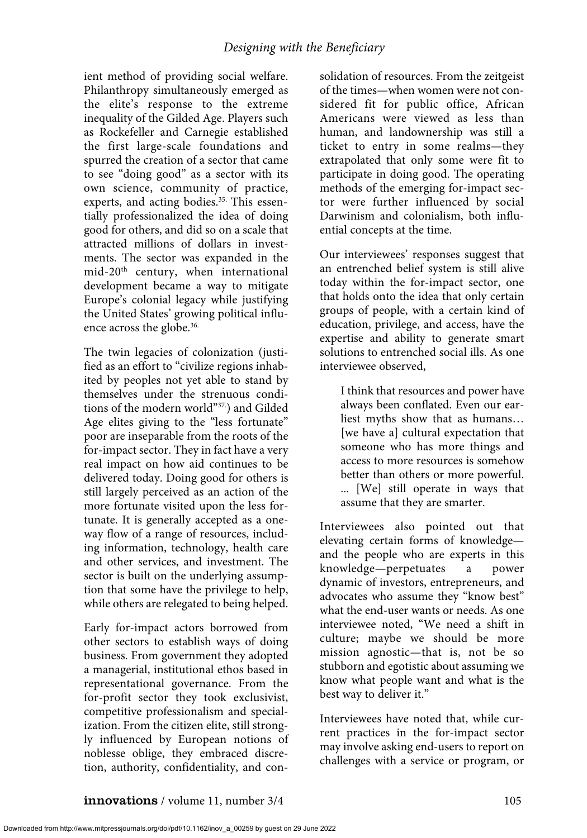ient method of providing social welfare. Philanthropy simultaneously emerged as the elite's response to the extreme inequality of the Gilded Age. Players such as Rockefeller and Carnegie established the first large-scale foundations and spurred the creation of a sector that came to see "doing good" as a sector with its own science, community of practice, experts, and acting bodies.<sup>35.</sup> This essentially professionalized the idea of doing good for others, and did so on a scale that attracted millions of dollars in investments. The sector was expanded in the mid-20<sup>th</sup> century, when international development became a way to mitigate Europe's colonial legacy while justifying the United States' growing political influence across the globe.<sup>36.</sup>

The twin legacies of colonization (justified as an effort to "civilize regions inhabited by peoples not yet able to stand by themselves under the strenuous conditions of the modern world"37.) and Gilded Age elites giving to the "less fortunate" poor are inseparable from the roots of the for-impact sector. They in fact have a very real impact on how aid continues to be delivered today. Doing good for others is still largely perceived as an action of the more fortunate visited upon the less fortunate. It is generally accepted as a oneway flow of a range of resources, including information, technology, health care and other services, and investment. The sector is built on the underlying assumption that some have the privilege to help, while others are relegated to being helped.

Early for-impact actors borrowed from other sectors to establish ways of doing business. From government they adopted a managerial, institutional ethos based in representational governance. From the for-profit sector they took exclusivist, competitive professionalism and specialization. From the citizen elite, still strongly influenced by European notions of noblesse oblige, they embraced discretion, authority, confidentiality, and consolidation of resources. From the zeitgeist of the times—when women were not considered fit for public office, African Americans were viewed as less than human, and landownership was still a ticket to entry in some realms—they extrapolated that only some were fit to participate in doing good. The operating methods of the emerging for-impact sector were further influenced by social Darwinism and colonialism, both influential concepts at the time.

Our interviewees' responses suggest that an entrenched belief system is still alive today within the for-impact sector, one that holds onto the idea that only certain groups of people, with a certain kind of education, privilege, and access, have the expertise and ability to generate smart solutions to entrenched social ills. As one interviewee observed,

I think that resources and power have always been conflated. Even our earliest myths show that as humans… [we have a] cultural expectation that someone who has more things and access to more resources is somehow better than others or more powerful. ... [We] still operate in ways that assume that they are smarter.

Interviewees also pointed out that elevating certain forms of knowledge and the people who are experts in this knowledge—perpetuates a power dynamic of investors, entrepreneurs, and advocates who assume they "know best" what the end-user wants or needs. As one interviewee noted, "We need a shift in culture; maybe we should be more mission agnostic—that is, not be so stubborn and egotistic about assuming we know what people want and what is the best way to deliver it."

Interviewees have noted that, while current practices in the for-impact sector may involve asking end-users to report on challenges with a service or program, or

Downloaded from http://www.mitpressjournals.org/doi/pdf/10.1162/inov\_a\_00259 by guest on 29 June 2022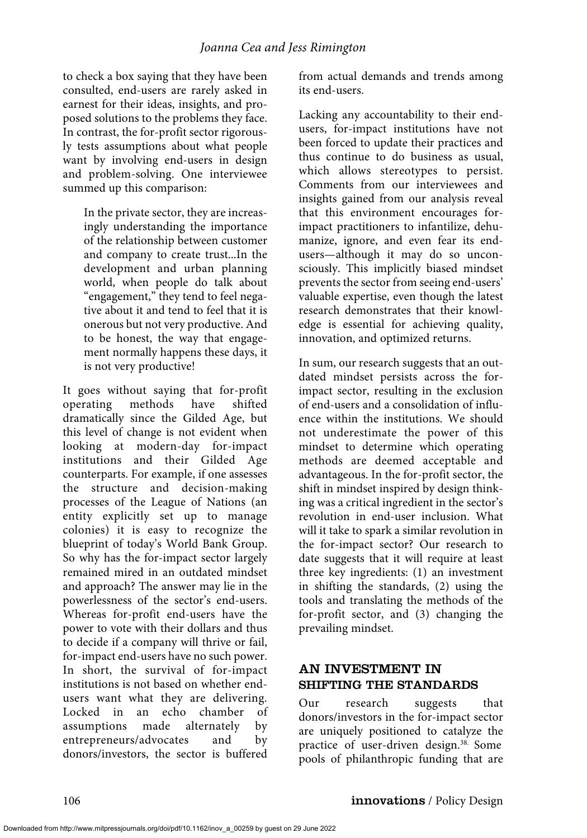to check a box saying that they have been consulted, end-users are rarely asked in earnest for their ideas, insights, and proposed solutions to the problems they face. In contrast, the for-profit sector rigorously tests assumptions about what people want by involving end-users in design and problem-solving. One interviewee summed up this comparison:

In the private sector, they are increasingly understanding the importance of the relationship between customer and company to create trust...In the development and urban planning world, when people do talk about "engagement," they tend to feel negative about it and tend to feel that it is onerous but not very productive. And to be honest, the way that engagement normally happens these days, it is not very productive!

It goes without saying that for-profit operating methods have shifted dramatically since the Gilded Age, but this level of change is not evident when looking at modern-day for-impact institutions and their Gilded Age counterparts. For example, if one assesses the structure and decision-making processes of the League of Nations (an entity explicitly set up to manage colonies) it is easy to recognize the blueprint of today's World Bank Group. So why has the for-impact sector largely remained mired in an outdated mindset and approach? The answer may lie in the powerlessness of the sector's end-users. Whereas for-profit end-users have the power to vote with their dollars and thus to decide if a company will thrive or fail, for-impact end-users have no such power. In short, the survival of for-impact institutions is not based on whether endusers want what they are delivering. Locked in an echo chamber of assumptions made alternately by entrepreneurs/advocates and by donors/investors, the sector is buffered from actual demands and trends among its end-users.

Lacking any accountability to their endusers, for-impact institutions have not been forced to update their practices and thus continue to do business as usual, which allows stereotypes to persist. Comments from our interviewees and insights gained from our analysis reveal that this environment encourages forimpact practitioners to infantilize, dehumanize, ignore, and even fear its endusers—although it may do so unconsciously. This implicitly biased mindset prevents the sector from seeing end-users' valuable expertise, even though the latest research demonstrates that their knowledge is essential for achieving quality, innovation, and optimized returns.

In sum, our research suggests that an outdated mindset persists across the forimpact sector, resulting in the exclusion of end-users and a consolidation of influence within the institutions. We should not underestimate the power of this mindset to determine which operating methods are deemed acceptable and advantageous. In the for-profit sector, the shift in mindset inspired by design thinking was a critical ingredient in the sector's revolution in end-user inclusion. What will it take to spark a similar revolution in the for-impact sector? Our research to date suggests that it will require at least three key ingredients: (1) an investment in shifting the standards, (2) using the tools and translating the methods of the for-profit sector, and (3) changing the prevailing mindset.

### AN INVESTMENT IN SHIFTING THE STANDARDS

Our research suggests that donors/investors in the for-impact sector are uniquely positioned to catalyze the practice of user-driven design.38. Some pools of philanthropic funding that are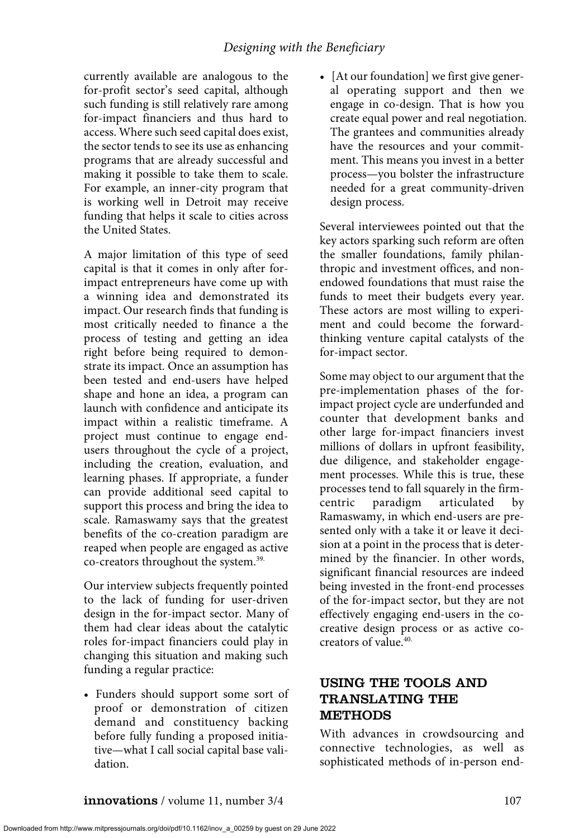currently available are analogous to the for-profit sector's seed capital, although such funding is still relatively rare among for-impact financiers and thus hard to access. Where such seed capital does exist, the sector tends to see its use as enhancing programs that are already successful and making it possible to take them to scale. For example, an inner-city program that is working well in Detroit may receive funding that helps it scale to cities across the United States.

A major limitation of this type of seed capital is that it comes in only after forimpact entrepreneurs have come up with a winning idea and demonstrated its impact. Our research finds that funding is most critically needed to finance a the process of testing and getting an idea right before being required to demonstrate its impact. Once an assumption has been tested and end-users have helped shape and hone an idea, a program can launch with confidence and anticipate its impact within a realistic timeframe. A project must continue to engage endusers throughout the cycle of a project, including the creation, evaluation, and learning phases. If appropriate, a funder can provide additional seed capital to support this process and bring the idea to scale. Ramaswamy says that the greatest benefits of the co-creation paradigm are reaped when people are engaged as active co-creators throughout the system.39.

Our interview subjects frequently pointed to the lack of funding for user-driven design in the for-impact sector. Many of them had clear ideas about the catalytic roles for-impact financiers could play in changing this situation and making such funding a regular practice:

• Funders should support some sort of proof or demonstration of citizen demand and constituency backing before fully funding a proposed initiative—what I call social capital base validation.

• [At our foundation] we first give general operating support and then we engage in co-design. That is how you create equal power and real negotiation. The grantees and communities already have the resources and your commitment. This means you invest in a better process—you bolster the infrastructure needed for a great community-driven design process.

Several interviewees pointed out that the key actors sparking such reform are often the smaller foundations, family philanthropic and investment offices, and nonendowed foundations that must raise the funds to meet their budgets every year. These actors are most willing to experiment and could become the forwardthinking venture capital catalysts of the for-impact sector.

Some may object to our argument that the pre-implementation phases of the forimpact project cycle are underfunded and counter that development banks and other large for-impact financiers invest millions of dollars in upfront feasibility, due diligence, and stakeholder engagement processes. While this is true, these processes tend to fall squarely in the firmcentric paradigm articulated by Ramaswamy, in which end-users are presented only with a take it or leave it decision at a point in the process that is determined by the financier. In other words, significant financial resources are indeed being invested in the front-end processes of the for-impact sector, but they are not effectively engaging end-users in the cocreative design process or as active cocreators of value.<sup>40.</sup>

# USING THE TOOLS AND TRANSLATING THE METHODS

With advances in crowdsourcing and connective technologies, as well as sophisticated methods of in-person end-

Downloaded from http://www.mitpressjournals.org/doi/pdf/10.1162/inov\_a\_00259 by guest on 29 June 2022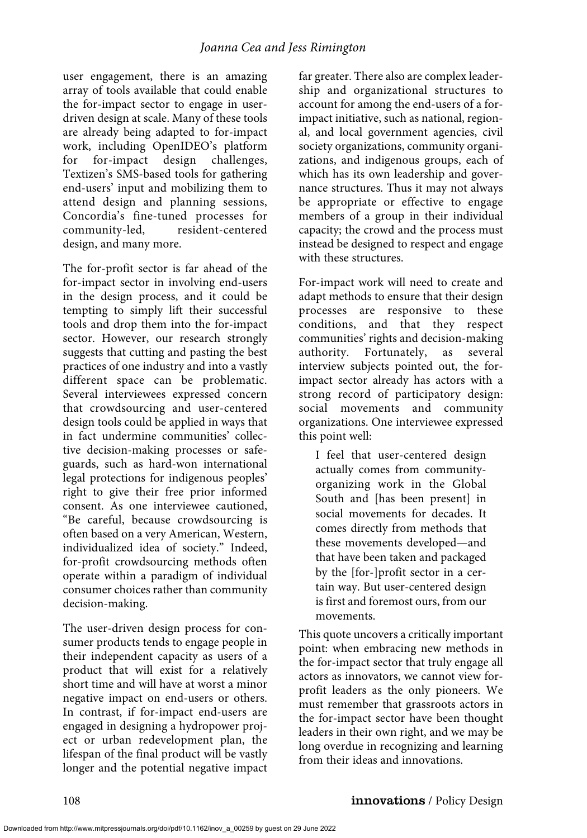user engagement, there is an amazing array of tools available that could enable the for-impact sector to engage in userdriven design at scale. Many of these tools are already being adapted to for-impact work, including OpenIDEO's platform for for-impact design challenges, Textizen's SMS-based tools for gathering end-users' input and mobilizing them to attend design and planning sessions, Concordia's fine-tuned processes for community-led, resident-centered design, and many more.

The for-profit sector is far ahead of the for-impact sector in involving end-users in the design process, and it could be tempting to simply lift their successful tools and drop them into the for-impact sector. However, our research strongly suggests that cutting and pasting the best practices of one industry and into a vastly different space can be problematic. Several interviewees expressed concern that crowdsourcing and user-centered design tools could be applied in ways that in fact undermine communities' collective decision-making processes or safeguards, such as hard-won international legal protections for indigenous peoples' right to give their free prior informed consent. As one interviewee cautioned, "Be careful, because crowdsourcing is often based on a very American, Western, individualized idea of society." Indeed, for-profit crowdsourcing methods often operate within a paradigm of individual consumer choices rather than community decision-making.

The user-driven design process for consumer products tends to engage people in their independent capacity as users of a product that will exist for a relatively short time and will have at worst a minor negative impact on end-users or others. In contrast, if for-impact end-users are engaged in designing a hydropower project or urban redevelopment plan, the lifespan of the final product will be vastly longer and the potential negative impact far greater. There also are complex leadership and organizational structures to account for among the end-users of a forimpact initiative, such as national, regional, and local government agencies, civil society organizations, community organizations, and indigenous groups, each of which has its own leadership and governance structures. Thus it may not always be appropriate or effective to engage members of a group in their individual capacity; the crowd and the process must instead be designed to respect and engage with these structures.

For-impact work will need to create and adapt methods to ensure that their design processes are responsive to these conditions, and that they respect communities' rights and decision-making authority. Fortunately, as several interview subjects pointed out, the forimpact sector already has actors with a strong record of participatory design: social movements and community organizations. One interviewee expressed this point well:

I feel that user-centered design actually comes from communityorganizing work in the Global South and [has been present] in social movements for decades. It comes directly from methods that these movements developed—and that have been taken and packaged by the [for-]profit sector in a certain way. But user-centered design is first and foremost ours, from our movements.

This quote uncovers a critically important point: when embracing new methods in the for-impact sector that truly engage all actors as innovators, we cannot view forprofit leaders as the only pioneers. We must remember that grassroots actors in the for-impact sector have been thought leaders in their own right, and we may be long overdue in recognizing and learning from their ideas and innovations.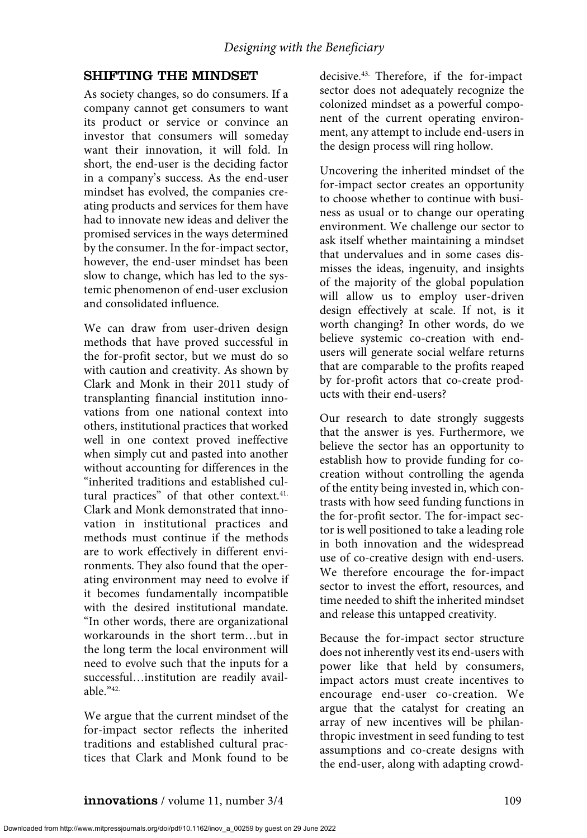# SHIFTING THE MINDSET

As society changes, so do consumers. If a company cannot get consumers to want its product or service or convince an investor that consumers will someday want their innovation, it will fold. In short, the end-user is the deciding factor in a company's success. As the end-user mindset has evolved, the companies creating products and services for them have had to innovate new ideas and deliver the promised services in the ways determined by the consumer. In the for-impact sector, however, the end-user mindset has been slow to change, which has led to the systemic phenomenon of end-user exclusion and consolidated influence.

We can draw from user-driven design methods that have proved successful in the for-profit sector, but we must do so with caution and creativity. As shown by Clark and Monk in their 2011 study of transplanting financial institution innovations from one national context into others, institutional practices that worked well in one context proved ineffective when simply cut and pasted into another without accounting for differences in the "inherited traditions and established cultural practices" of that other context.<sup>41.</sup> Clark and Monk demonstrated that innovation in institutional practices and methods must continue if the methods are to work effectively in different environments. They also found that the operating environment may need to evolve if it becomes fundamentally incompatible with the desired institutional mandate. "In other words, there are organizational workarounds in the short term…but in the long term the local environment will need to evolve such that the inputs for a successful…institution are readily available."42.

We argue that the current mindset of the for-impact sector reflects the inherited traditions and established cultural practices that Clark and Monk found to be

decisive.<sup>43.</sup> Therefore, if the for-impact sector does not adequately recognize the colonized mindset as a powerful component of the current operating environment, any attempt to include end-users in the design process will ring hollow.

Uncovering the inherited mindset of the for-impact sector creates an opportunity to choose whether to continue with business as usual or to change our operating environment. We challenge our sector to ask itself whether maintaining a mindset that undervalues and in some cases dismisses the ideas, ingenuity, and insights of the majority of the global population will allow us to employ user-driven design effectively at scale. If not, is it worth changing? In other words, do we believe systemic co-creation with endusers will generate social welfare returns that are comparable to the profits reaped by for-profit actors that co-create products with their end-users?

Our research to date strongly suggests that the answer is yes. Furthermore, we believe the sector has an opportunity to establish how to provide funding for cocreation without controlling the agenda of the entity being invested in, which contrasts with how seed funding functions in the for-profit sector. The for-impact sector is well positioned to take a leading role in both innovation and the widespread use of co-creative design with end-users. We therefore encourage the for-impact sector to invest the effort, resources, and time needed to shift the inherited mindset and release this untapped creativity.

Because the for-impact sector structure does not inherently vest its end-users with power like that held by consumers, impact actors must create incentives to encourage end-user co-creation. We argue that the catalyst for creating an array of new incentives will be philanthropic investment in seed funding to test assumptions and co-create designs with the end-user, along with adapting crowd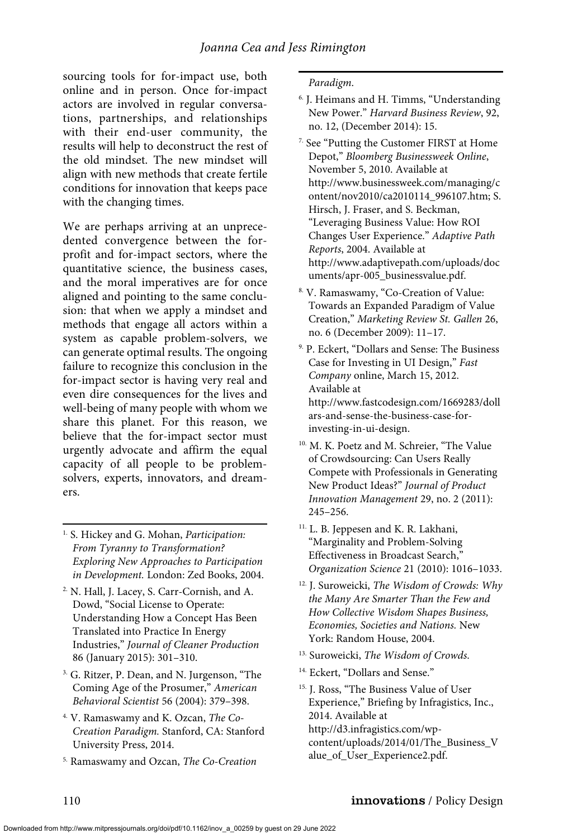sourcing tools for for-impact use, both online and in person. Once for-impact actors are involved in regular conversations, partnerships, and relationships with their end-user community, the results will help to deconstruct the rest of the old mindset. The new mindset will align with new methods that create fertile conditions for innovation that keeps pace with the changing times.

We are perhaps arriving at an unprecedented convergence between the forprofit and for-impact sectors, where the quantitative science, the business cases, and the moral imperatives are for once aligned and pointing to the same conclusion: that when we apply a mindset and methods that engage all actors within a system as capable problem-solvers, we can generate optimal results. The ongoing failure to recognize this conclusion in the for-impact sector is having very real and even dire consequences for the lives and well-being of many people with whom we share this planet. For this reason, we believe that the for-impact sector must urgently advocate and affirm the equal capacity of all people to be problemsolvers, experts, innovators, and dreamers.

1. S. Hickey and G. Mohan, *Participation: From Tyranny to Transformation? Exploring New Approaches to Participation in Development.* London: Zed Books, 2004.

- 2. N. Hall, J. Lacey, S. Carr-Cornish, and A. Dowd, "Social License to Operate: Understanding How a Concept Has Been Translated into Practice In Energy Industries," *Journal of Cleaner Production* 86 (January 2015): 301–310.
- <sup>3.</sup> G. Ritzer, P. Dean, and N. Jurgenson, "The Coming Age of the Prosumer," *American Behavioral Scientist* 56 (2004): 379–398.
- 4. V. Ramaswamy and K. Ozcan, *The Co-Creation Paradigm.* Stanford, CA: Stanford University Press, 2014.
- 5. Ramaswamy and Ozcan, *The Co-Creation*

*Paradigm*.

- 6. J. Heimans and H. Timms, "Understanding New Power." *Harvard Business Review*, 92, no. 12, (December 2014): 15.
- 7. See "Putting the Customer FIRST at Home Depot," *Bloomberg Businessweek Online*, November 5, 2010. Available at http://www.businessweek.com/managing/c ontent/nov2010/ca2010114\_996107.htm; S. Hirsch, J. Fraser, and S. Beckman, "Leveraging Business Value: How ROI Changes User Experience." *Adaptive Path Reports*, 2004. Available at http://www.adaptivepath.com/uploads/doc uments/apr-005\_businessvalue.pdf.
- 8. V. Ramaswamy, "Co-Creation of Value: Towards an Expanded Paradigm of Value Creation," *Marketing Review St. Gallen* 26, no. 6 (December 2009): 11–17.
- 9. P. Eckert, "Dollars and Sense: The Business Case for Investing in UI Design," *Fast Company* online, March 15, 2012. Available at http://www.fastcodesign.com/1669283/doll ars-and-sense-the-business-case-forinvesting-in-ui-design.
- 10. M. K. Poetz and M. Schreier, "The Value of Crowdsourcing: Can Users Really Compete with Professionals in Generating New Product Ideas?" *Journal of Product Innovation Management* 29, no. 2 (2011): 245–256.
- 11. L. B. Jeppesen and K. R. Lakhani, "Marginality and Problem-Solving Effectiveness in Broadcast Search," *Organization Science* 21 (2010): 1016–1033.
- 12. J. Suroweicki, *The Wisdom of Crowds: Why the Many Are Smarter Than the Few and How Collective Wisdom Shapes Business, Economies, Societies and Nations.* New York: Random House, 2004.
- 13. Suroweicki, *The Wisdom of Crowds*.
- 14. Eckert, "Dollars and Sense."
- 15. J. Ross, "The Business Value of User Experience," Briefing by Infragistics, Inc., 2014. Available at

http://d3.infragistics.com/wpcontent/uploads/2014/01/The\_Business\_V alue\_of\_User\_Experience2.pdf.